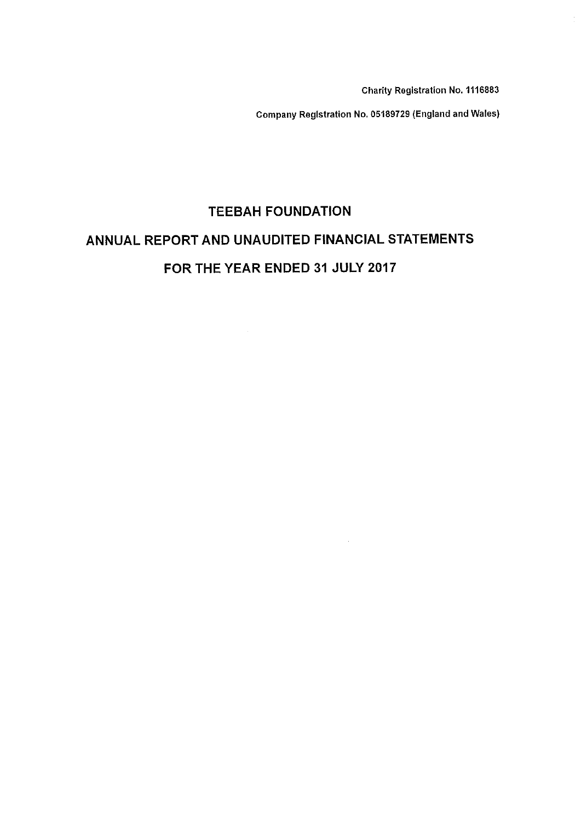Charity Registration No. 1116883

Company Registration No. 05189729 (England and Wales)

 $\sim 10^{-10}$ 

# TEEBAH FOUNDATION ANNUAL REPORT AND UNAUDITED FINANCIAL STATEMENTS FOR THE YEAR ENDED 31 JULY 2017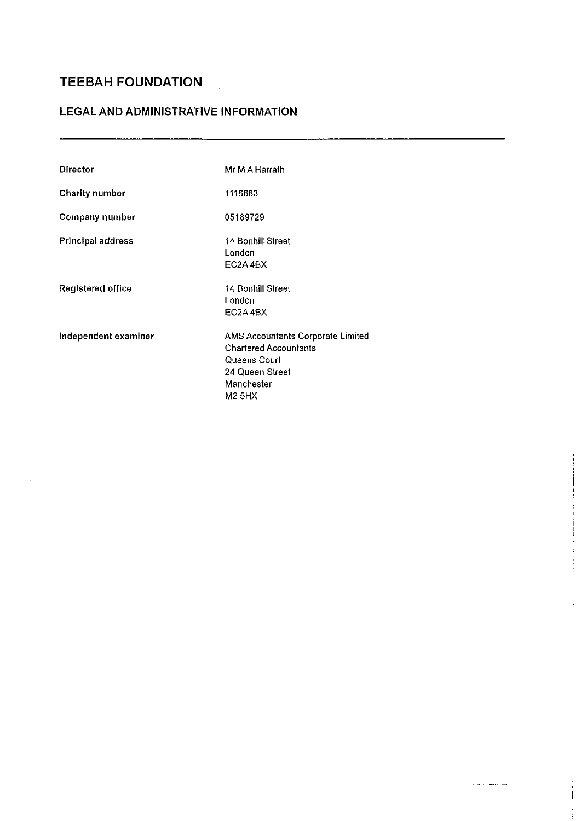### LEGAL AND ADMINISTRATIVE INFORMATION

 $\ddot{\phantom{a}}$ 

| <b>Director</b>          | Mr M A Harrath                                                                                                                      |
|--------------------------|-------------------------------------------------------------------------------------------------------------------------------------|
| <b>Charity number</b>    | 1116883                                                                                                                             |
| Company number           | 05189729                                                                                                                            |
| <b>Principal address</b> | 14 Bonhill Street<br>London<br>EC2A4BX                                                                                              |
| Registered office        | 14 Bonhill Street<br>London<br>EC2A4BX                                                                                              |
| Independent examiner     | AMS Accountants Corporate Limited<br><b>Chartered Accountants</b><br>Queens Court<br>24 Queen Street<br>Manchester<br><b>M2 5HX</b> |

and the company of the com-

 $\bar{z}$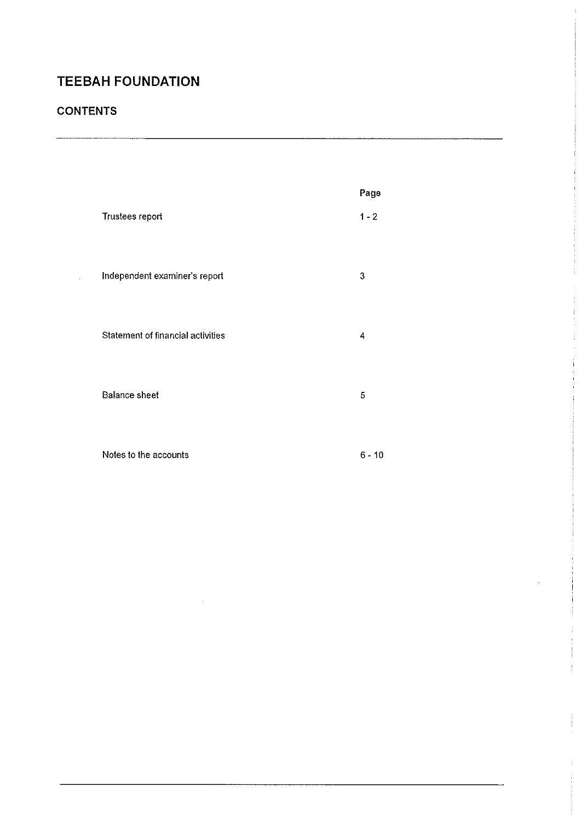### **CONTENTS**

|                                          | Page     |
|------------------------------------------|----------|
| Trustees report                          | $1 - 2$  |
|                                          |          |
|                                          |          |
| Independent examiner's report            | 3        |
|                                          |          |
|                                          |          |
| <b>Statement of financial activities</b> | 4        |
|                                          |          |
|                                          |          |
| <b>Balance sheet</b>                     | 5        |
|                                          |          |
|                                          |          |
| Notes to the accounts                    | $6 - 10$ |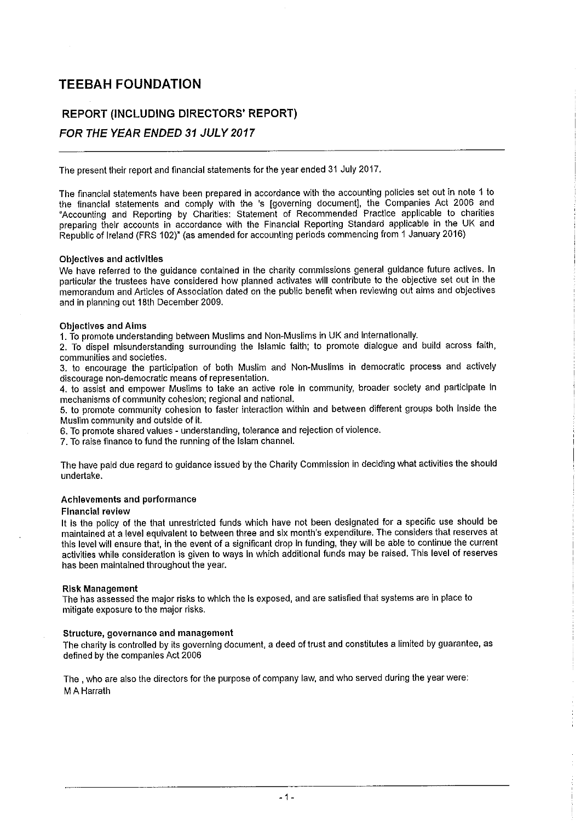### REPORT (INCLUDING DIRECTORS' REPORT)

### FOR THE YEAR ENDED 31 JULY 2017

The present their report and financial statements for the year ended 31 July 2017.

The financial statements have been prepared in accordance with the accounting policies set out in nots <sup>1</sup> to the financial statements and comply with the 's [governing document), the Companies Act 2006 and 'Accounting and Reporting by Charities: Statement of Recommended Practice applicable to charities preparing their accounts in accordance with the Financial Reporting Standard applicable in the UK and Republic of Ireland (FRS 102)" (as amended for accounting periods commencing from <sup>1</sup> January 2016)

#### Objectives and activities

We have referred to the guidance contained in the charity commissions general guidance future actives. In particular the trustees have considered how planned activates will contribute to the objective set out in the memorandum and Articles of Association dated on the public benefit when reviewing out aims and objectives and in planning out 18th December 2009.

#### Objectives and Aims

1.To promote understanding between Muslims and Non-Muslims in UK and internationally.

2. To dispel misunderstanding surrounding the Islamic faith; to promote dialogue and build across faith, communities and societies.

3. to encourage the participation of both Muslim and Non-Muslims in democratic process and actively discourage non-democratic means of representation.

4. to assist and empower Muslims to take an active role in community, broader society and participate in mechanisms of community cohesion; regional and national.

5, to promote community cohesion to faster interaction within and between different groups both inside the Muslim community and outside of it.

6. To promote shared values - understanding, tolerance and rejection of violence.

7. To raise finance to fund the running of the Islam channel.

The have paid due regard to guidance issued by the Charity Commission in deciding what activities the should undertake.

#### Achievements and performance

#### Financial review

It is the policy of the that unrestricted funds which have not been designated for a specific use should be maintained at a level equivalent to between three and six month's expenditure. The considers that reserves at this level will ensure that, in the event of a significant drop in funding, they viill be able to continue the current activities while consideration is given to ways In which additional funds may be raised. This level of reserves has been maintained throughout the year.

#### Risk Management

The has assessed the major risks to which the Is exposed, and are satisfied that systems ars in place to mitigate exposure to the major risks.

#### Structure, governance and management

The charity is controlled by its governing document, a deed of trust and constitutes a limited by guarantee, as defined by the companies Act 2006

The, who are also the directors for the purpose of company law, and who served during the year were: **M A Harrath**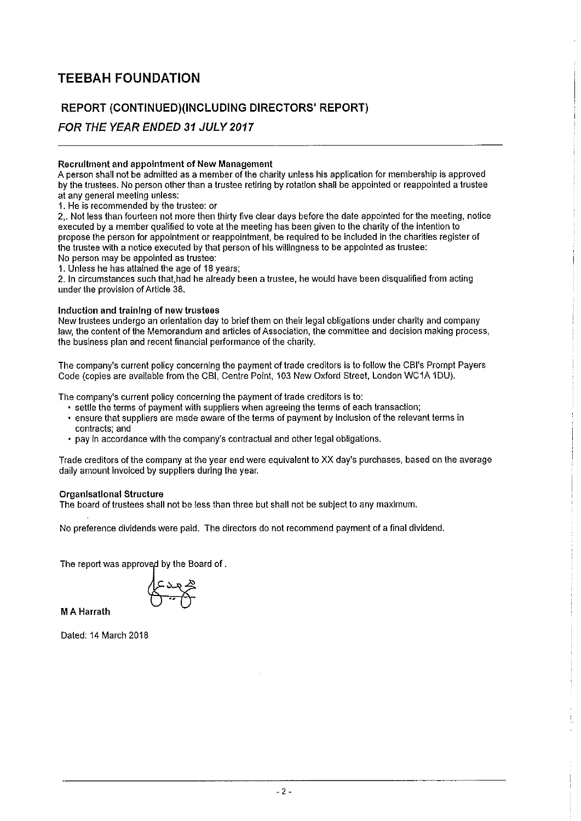### REPORT (CONTINUED)(INCLUDING DIRECTORS' REPORT)

### FOR THE YEAR ENDED 31 JULY 2017

#### Recruitment and appointment of New Management

A person shall not be admitted as a member of the charity unless his application for membership is approved by the trustees. No person other than a trustee retiring by rotation shall be appointed or reappointed a trustee at any general meeting unless:

1. He is recommended by the trustee: or

2,. Not less than fourteen not more then thirty five clear days before the date appointed for the meeting, notice executed by a member qualified to vote at the meeting has been given to the charity of the intention to propose the person for appointment or reappointment, be required to be included in the charities register of the trustee with a notice executed by that person of his viillingness to be appointed as trustee: No person may be appointed as trustee:

1. Unless he has attained the age of 18 years;

2. In circumstances such that, had he already been a trustee, he would have been disqualified from acting under the provision of Article 38.

#### Induction and training of new trustees

New trustees undergo an orientation day to brief them on their legal obligations under charity and company law, the content of the Memorandum and articles of Association, the committee and decision making process, the business plan and recent financial performance of the charity.

The company's current policy concerning the payment of trade creditors is to follow the CBI's Prompt Payers Code (copies are available from the CBI, Centre Point, 103 New Oxford Street, London WC1A 1DU).

The company's current policy concerning the payment of trade creditors is to:

- <sup>~</sup> settle the terms of payment with suppliers when agreeing the terms of each transaction;
- <sup>~</sup> ensure that suppliers are made aware of the terms of payment by inclusion of the relevant terms in contracts; and
- ~ pay in accordance with the company's contractual and other legal obligations.

Trade creditors of the company at the year end were equivalent to XX day's purchases, based on the average daily amount invoiced by suppliers during the year.

#### Organlsatlonal Structure

The board of trustees shall not be less than three but shall not be subject to any maximum.

No preference dividends were paid. The directors do not recommend payment of a final dividend.

The report was approved by the Board of.

M A Harrath

Dated: 14 March 2018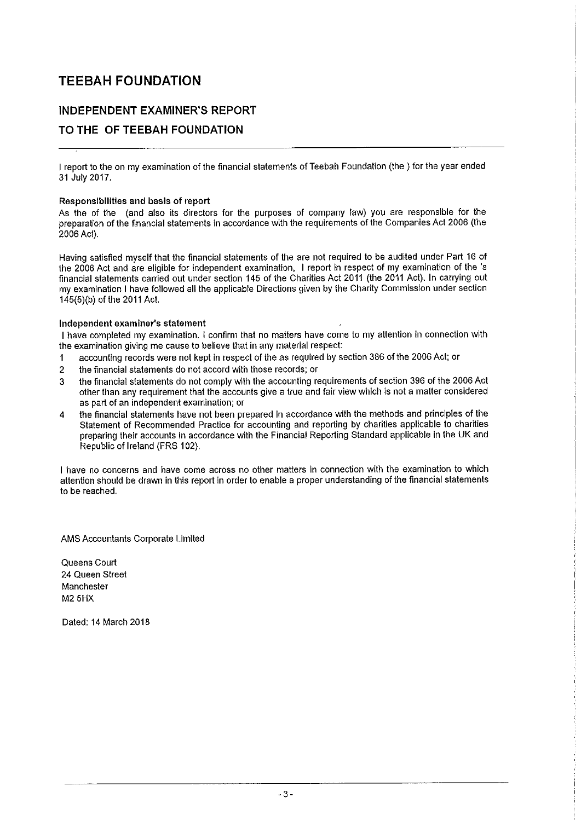### INDEPENDENT EXAMINER'S REPORT

### TO THE OF TEEBAH FOUNDATION

I report to the on my examination of the financial statements of Teebah Foundation (the ) for the year ender<br>-31 July 2017.

#### Responsibilities and basis of report

As the of the (and also its directors for the purposes of company law) you are responsible for the preparation of the financial statements in accordance with the requirements of the Companies Act 2006 (the 2006 Act).

Having satisfied myself that the financial statements of the are not required to be audited under Part 16 of the 2006 Act and are eligible for independent examination, <sup>I</sup> report In respect of my examination of the 's financial statements carried out under section 145 of the Charities Act 2011 (the 2011 Act). In carrying out my examination <sup>I</sup> have followed all the applicable Directions given by the Charity Commission under section 145(5)(b) of the 2011 Act.

#### Independent examiner's statement

<sup>I</sup> have completed my examination. <sup>I</sup> confirm that no matters have come to my afiention in connection with the examination giving me cause to believe that in any material respect:

- <sup>1</sup> accounting records were not kept in respect of the as required by section 386 of the 2006 Act; or
- 2 the financial statements do not accord with those records; or
- 3 the financial statements do not comply viith the accounting requirements of section 396 of the 2006 Act other than any requirement that the accounts give a true and fair view which is not a matter considered as part of an independent examination; or
- 4 the financial statements have not been prepared in accordance with the methods and principles of the Statement of Recommended Practice for accounting and reporting by charities applicable to charities preparing their accounts in accordance with the Financial Reporting Standard applicable in the UK and Republic of Ireland (FRS 102).

I have no concerns and have come across no other matters in connection with the examination to which attention should be drawn in this report in order to enable a proper understanding of the financial statements to be reached.

AMS Accountants Corporate Limited

Queens Court 24 Queen Street Manchester M2 5HX

Dated: 14 March 2018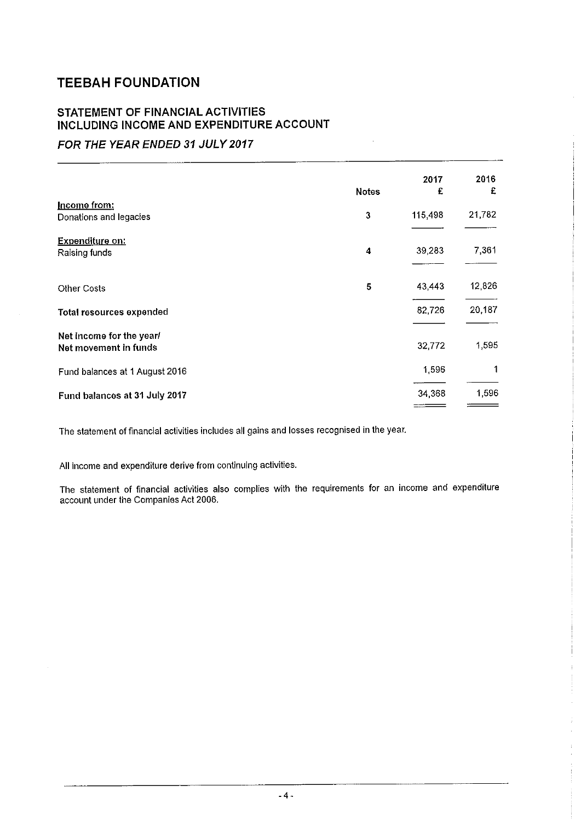### STATEMENT OF FINANCIAL ACTIVITIES INCLUDING INCOME AND EXPENDITURE ACCOUNT

### FOR THE YEAR ENDED 31 JULY 2017

|                                                   | <b>Notes</b> | 2017<br>£ | 2016<br>£ |
|---------------------------------------------------|--------------|-----------|-----------|
| Income from:<br>Donations and legacies            | $\mathbf{3}$ | 115,498   | 21,782    |
|                                                   |              |           |           |
| <b>Expenditure on:</b><br>Raising funds           | 4            | 39,283    | 7,361     |
| <b>Other Costs</b>                                | 5            | 43,443    | 12,826    |
| <b>Total resources expended</b>                   |              | 82,726    | 20,187    |
| Net income for the year/<br>Net movement in funds |              | 32,772    | 1,595     |
| Fund balances at 1 August 2016                    |              | 1,596     | 1         |
| Fund balances at 31 July 2017                     |              | 34,368    | 1,596     |

The statement of financial activities includes all gains and losses recognised in the year.

All income and expenditure derive from continuing activities.

The statement of financial activities also complies with the requirements for an income and expenditu account under the Companies Act 2006.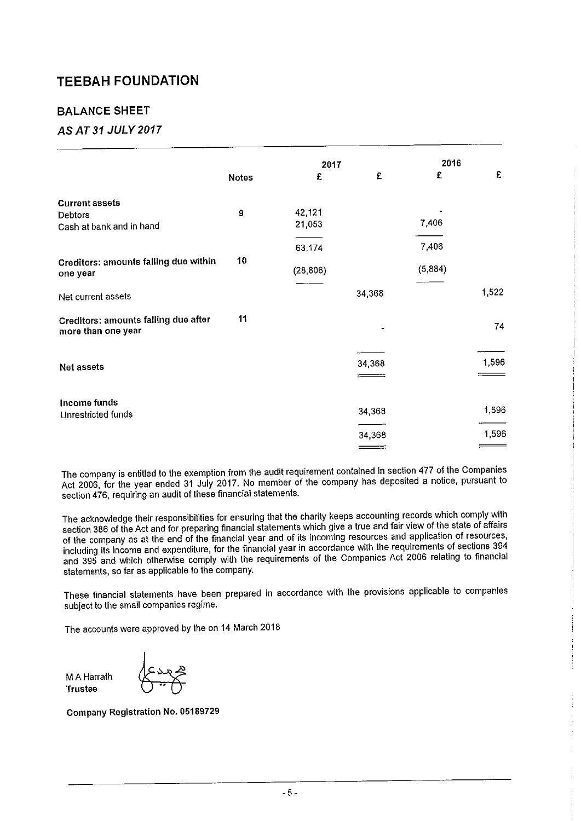### BALANCE SHEET

### AS AT 31 JULY 2017

|                                                                   |                  | 2017             |        | 2016    |       |
|-------------------------------------------------------------------|------------------|------------------|--------|---------|-------|
|                                                                   | <b>Notes</b>     | £                | £      | £       | £     |
| <b>Current assets</b>                                             |                  |                  |        |         |       |
| Debtors<br>Cash at bank and in hand                               | $\boldsymbol{9}$ | 42,121<br>21,053 |        | 7,406   |       |
|                                                                   |                  | 63,174           |        | 7,406   |       |
| <b>Creditors: amounts falling due within</b><br>one year          | 10               | (28, 806)        |        | (5,884) |       |
| Net current assets                                                |                  |                  | 34,368 |         | 1,522 |
| <b>Creditors: amounts falling due after</b><br>more than one year | 11               |                  |        |         | 74    |
| <b>Net assets</b>                                                 |                  |                  | 34,368 |         | 1,596 |
| Income funds                                                      |                  |                  |        |         |       |
| Unrestricted funds                                                |                  |                  | 34,368 |         | 1,596 |
|                                                                   |                  |                  | 34,368 |         | 1,596 |
|                                                                   |                  |                  |        |         |       |

The company is entitled to the exemption from the audit requirement contained in section <sup>477</sup> of the Companies Act 2006, for the year ended <sup>31</sup> July 2017. No member of the company has deposited <sup>a</sup> notice, pursuant to section 476, requiring an audit of these financial statements.

The acknowledge their responsibilities for ensuring that the charity keeps accounting records which comply with section <sup>386</sup> of the Act and for preparing financial statements which give <sup>a</sup> true and fair view of the state of affairs of the company as at the end of the financial year and of its incoming resources and application of resources, including its Income and expenditure, for the financial year in accordance with the requirements of sections <sup>394</sup> and <sup>395</sup> and which otherwise comply with the requirements of the Companies Act <sup>2006</sup> relating to financial statements, so far as applicable to the company.

These financial statements have been prepared in accordance viith the provisions applicable to companies subject to the small companies regime.

The accounts were approved by the on 14 March 2018

M A Harrath Trustee

Company Registration No. 05189729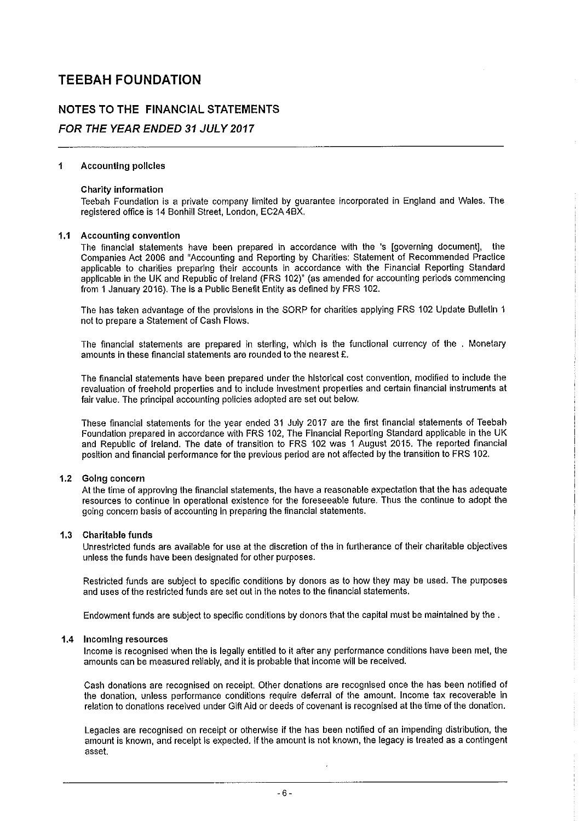# NOTES TO THE FINANCIAL STATEMENTS

### FOR THE YEAR ENDED 31 JULY 2017

#### $\ddot{\mathbf{1}}$ Accounting policies

#### Charity information

Teebah Foundation is a private company limited by guarantee incorporated in England and Wales. The registered office is 14 Bonhill Street, London, EC2A 4BX.

#### Accounting convention

The financial statements have been prepared in accordance with the 's [governing document), the Companies Act 2006 and "Accounting and Reporting by Charities: Statement of Recommended Practice applicable to charities preparing their accounts in accordance with the Financial Reporting Standard applicable in the UK and Republic of Ireland (FRS 102)" (as amended for accounting periods commencing from 1 January 2016). The is a Public Benefit Entity as defined by FRS 102.

The has taken advantage of the provisions in the SORP for charities applying FRS 102 Update Bulletin <sup>1</sup> not to prepare a Statement of Cash Flows.

The financial statements are prepared in sterling, which is the functional currency of the . Monetary amounts in these financial statements are rounded to the nearest £.

The financial statements have been prepared under the historical cost convention, modified to include the revaluation of freehold properties and to include investment properties and certain financial instruments at fair value. The principal accounting policies adopted are set out below.

These financial statements for the year ended 31 July 2017 are the first financial statements of Teebah Foundation prepared in accordance with FRS 102, The Financial Reporting Standard applicable in the UK and Republic of Ireland. The date of transition to FRS 102 was <sup>1</sup> August 2015. The reported financial position and financial performance for the previous period are not affected by the transition to FRS 102.

#### 1.2 Going concern

At the time of approving the financial statements, the have a reasonable expectation that the has adequate resources to continue in operational existence for the foreseeable future. Thus the continue to adopt the going concern basis of accounting in preparing the financial statements.

#### 1.3 Charitable funds

Unrestricted funds are available for use at the discretion of the in furtherance of their charitable objectives unless the funds have been designated for other purposes.

Restricted funds are subject to specific conditions by donors as to how they may be used. The purposes and uses of the restricted funds are set out in the notes to the financial statements.

Endowment funds are subject to specific conditions by donors that the capital must be maintained by the .

#### 1.4 Incoming resources

Income is recognised when the is legally entitled to it after any performance conditions have been met, the amounts can be measured reliably, and it is probable that income will be received.

Cash donations are recognised on receipt. Other donations are recognised once the has been notified of the donation, unless performance conditions require deferral of the amount. Income tax recoverable in relation to donations received under Gift Aid or deeds of covenant is recognised at the time of the donation.

Legacies are recognised on receipt or otherwise if the has been notified of an impending distribution, the amount is known, and receipt Is expected. If the amount is not known, the legacy is treated as a contingent asset.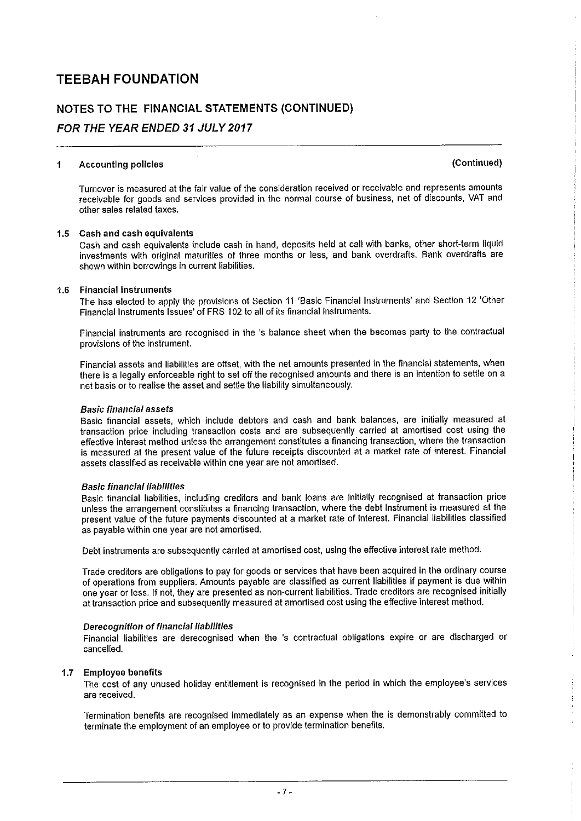## NOTES TO THE FINANCIAL STATEMENTS (CONTINUED)

### FOR THE YEAR ENDED 31 JULY 2017

#### Accounting policies (Continued)  $\mathbf{1}$

Turnover is measured at the fair value of the consideration received or receivable and represents amounts receivable for goods and services provided in the normal course of business, net of discounts, VAT and other sales related taxes.

#### 1.5 Cash and cash equivalents

Cash and cash equivalents include cash in hand, deposits held at call with banks, other short-term liquid investments with original maturities of three months or less, and bank overdrafts. Bank overdrafts are shown within borrowings in current liabilities.

#### 1.6 Financial instruments

The has elected to apply the provisions of Section 11 'Basic Financial Instruments' and Section 12 'Other Financial Instruments Issues' of FRS I 02 to all of its financial instruments.

Financial instruments are recognised in the 's balance sheet when the becomes party to the contractual provisions of the instrument.

Financial assets and liabilities are offset, with the net amounts presented in the financial statements, when there is a legally enforceabie right to set off the recognised amounts and there is an Intention to settle on a net basis or to realise the asset and settle the liability simultaneously.

#### Basic financial assets

Basic financial assets, which include debtors and cash and bank balances, are initially measured at transaction price including transaction costs and are subsequently carried at amortised cost using the effective interest method unless the arrangement constitutes a financing transaction, where the transaction is measured at the present value of the future receipts discounted at a market rate of interest. Financial assets classified as receivable within one year are not amortised.

#### Basic financial liabilities

Basic financial liabilities, including creditors and bank loans are initially recognised at transaction price unless the arrangement constitutes a financing transaction, where the debt Instrument is measured at the present value of the future payments discounted at a market rate of interest. Financial liabilities classified as payable within one year are not amortised.

Debt instruments are subsequently carried at amortised cost, using the effective interest rate method.

Trade creditors are obligations to pay for goods or services that have been acquired in the ordinary course of operations from suppliers. Amounts payable are classified as current liabilities if payment is due within one year or less. If not, they are presented as non-current liabilities. Trade creditors are recognised initially at transaction price and subsequently measured at amortised cost using the effective interest method,

#### Derecognition of financial liabilities

Financial liabilities are derecognised when the 's contractual obligations expire or are discharged or cancelled.

#### 1.7 Employee benefits

The cost of any unused holiday entitlement is recognised in the period in which the employee's services are received.

Termination benefits are recognised immediately as an expense when the is demonstrably committed to terminate the employment of an employee or to provide termination benefits.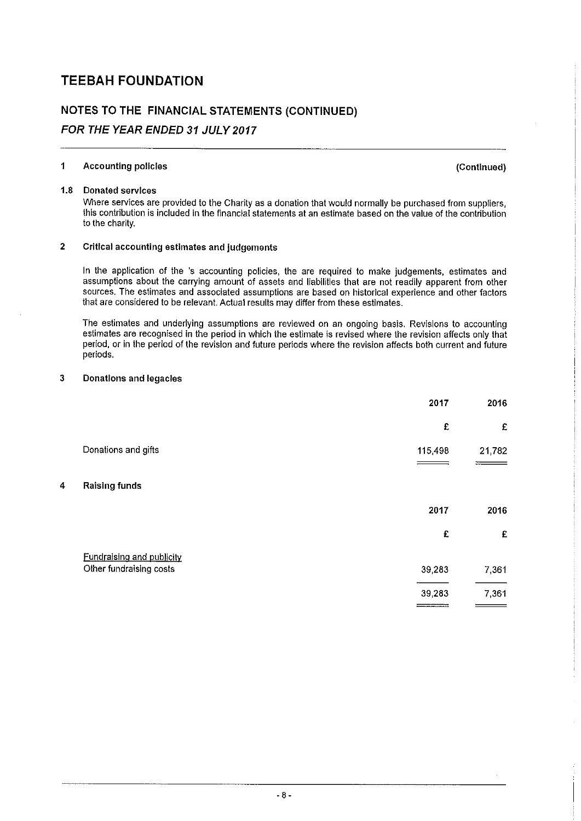# NOTES TO THE FINANCIAL STATEMENTS (CONTINUED) FOR THE YEAR ENDED 31 JULY 2017

### <sup>1</sup> Accounting policies (Continued)

#### 1.8 Donated services

Where services are provided to the Charity as a donation that would normally be purchased from suppliers, this contribution is included in the financial statements at an estimate based on the value of the contribution to the charity.

### 2 Critical accounting estimates and judgements

In the application of the 's accounting policies, the are required to make judgements, estimates and assumptions about the carrying amount of assets and liabilities that are not readily apparent from other sources. The estimates and associated assumptions are based on historical experience and other factors that are considered to be relevant. Actual results may differ from these estimates.

The estimates and underlying assumptions are reviewed on an ongoing basis. Revisions to accounting estimates are recognised in the period in which the estimate is revised where the revision affects only that period, or in the period of the revision and future periods where the revision affects both current and future periods.

#### 3 Donations and legacies

|   |                                  | 2017       | 2016   |
|---|----------------------------------|------------|--------|
|   |                                  | £          | £      |
|   | Donations and gifts              | 115,498    | 21,782 |
| 4 | <b>Raising funds</b>             |            |        |
|   |                                  | 2017       | 2016   |
|   |                                  | £          | £      |
|   | <b>Fundralsing and publicity</b> |            |        |
|   | Other fundraising costs          | 39,283     | 7,361  |
|   |                                  | 39,283     | 7,361  |
|   |                                  | __________ |        |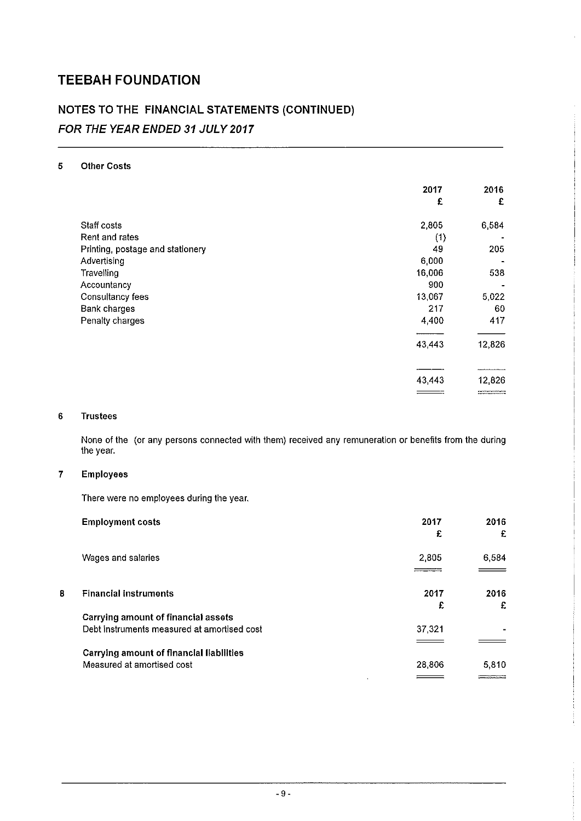# NOTES TO THE FINANCIAL STATEMENTS (CONTINUED) FOR THE YEAR ENDED 31 JULY 2017

### 5 Other Costs

|                                  | 2017   | 2016   |
|----------------------------------|--------|--------|
|                                  | £      | £      |
| Staff costs                      | 2,805  | 6,584  |
| Rent and rates                   | (1)    |        |
| Printing, postage and stationery | 49     | 205    |
| Advertising                      | 6,000  |        |
| Travelling                       | 16,006 | 538    |
| Accountancy                      | 900    |        |
| Consultancy fees                 | 13,067 | 5,022  |
| <b>Bank charges</b>              | 217    | 60     |
| Penalty charges                  | 4,400  | 417    |
|                                  | 43,443 | 12,826 |
|                                  |        |        |
|                                  | 43,443 | 12,826 |
|                                  |        |        |

#### 6 Trustees

None of the (or any persons connected with them) received any remuneration or benefits from the during the year.

#### 7 Employees

There were no employees during the year.

|   | <b>Employment costs</b>                         | 2017   | 2016  |
|---|-------------------------------------------------|--------|-------|
|   |                                                 | £      | £     |
|   | Wages and salaries                              | 2,805  | 6,584 |
|   |                                                 |        |       |
| 8 | <b>Financial instruments</b>                    | 2017   | 2016  |
|   |                                                 | £      | £     |
|   | <b>Carrying amount of financial assets</b>      |        |       |
|   | Debt instruments measured at amortised cost     | 37,321 |       |
|   |                                                 |        |       |
|   | <b>Carrying amount of financial liabilities</b> |        |       |
|   | Measured at amortised cost                      | 28,806 | 5,810 |
|   |                                                 |        |       |